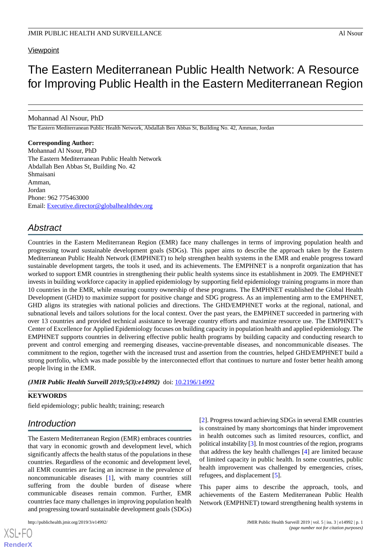### **Viewpoint**

# The Eastern Mediterranean Public Health Network: A Resource for Improving Public Health in the Eastern Mediterranean Region

Mohannad Al Nsour, PhD

The Eastern Mediterranean Public Health Network, Abdallah Ben Abbas St, Building No. 42, Amman, Jordan

### **Corresponding Author:**

Mohannad Al Nsour, PhD The Eastern Mediterranean Public Health Network Abdallah Ben Abbas St, Building No. 42 Shmaisani Amman, Jordan Phone: 962 775463000 Email: [Executive.director@globalhealthdev.org](mailto:Executive.director@globalhealthdev.org)

### *Abstract*

Countries in the Eastern Mediterranean Region (EMR) face many challenges in terms of improving population health and progressing toward sustainable development goals (SDGs). This paper aims to describe the approach taken by the Eastern Mediterranean Public Health Network (EMPHNET) to help strengthen health systems in the EMR and enable progress toward sustainable development targets, the tools it used, and its achievements. The EMPHNET is a nonprofit organization that has worked to support EMR countries in strengthening their public health systems since its establishment in 2009. The EMPHNET invests in building workforce capacity in applied epidemiology by supporting field epidemiology training programs in more than 10 countries in the EMR, while ensuring country ownership of these programs. The EMPHNET established the Global Health Development (GHD) to maximize support for positive change and SDG progress. As an implementing arm to the EMPHNET, GHD aligns its strategies with national policies and directions. The GHD/EMPHNET works at the regional, national, and subnational levels and tailors solutions for the local context. Over the past years, the EMPHNET succeeded in partnering with over 13 countries and provided technical assistance to leverage country efforts and maximize resource use. The EMPHNET's Center of Excellence for Applied Epidemiology focuses on building capacity in population health and applied epidemiology. The EMPHNET supports countries in delivering effective public health programs by building capacity and conducting research to prevent and control emerging and reemerging diseases, vaccine-preventable diseases, and noncommunicable diseases. The commitment to the region, together with the increased trust and assertion from the countries, helped GHD/EMPHNET build a strong portfolio, which was made possible by the interconnected effort that continues to nurture and foster better health among people living in the EMR.

*(JMIR Public Health Surveill 2019;5(3):e14992)* doi: [10.2196/14992](http://dx.doi.org/10.2196/14992)

### **KEYWORDS**

field epidemiology; public health; training; research

### *Introduction*

The Eastern Mediterranean Region (EMR) embraces countries that vary in economic growth and development level, which significantly affects the health status of the populations in these countries. Regardless of the economic and development level, all EMR countries are facing an increase in the prevalence of noncommunicable diseases [[1\]](#page-3-0), with many countries still suffering from the double burden of disease where communicable diseases remain common. Further, EMR countries face many challenges in improving population health and progressing toward sustainable development goals (SDGs)

[XSL](http://www.w3.org/Style/XSL)•FO **[RenderX](http://www.renderx.com/)**

[[2\]](#page-4-0). Progress toward achieving SDGs in several EMR countries is constrained by many shortcomings that hinder improvement in health outcomes such as limited resources, conflict, and political instability [[3](#page-4-1)]. In most countries of the region, programs that address the key health challenges [\[4](#page-4-2)] are limited because of limited capacity in public health. In some countries, public health improvement was challenged by emergencies, crises, refugees, and displacement [\[5](#page-4-3)].

This paper aims to describe the approach, tools, and achievements of the Eastern Mediterranean Public Health Network (EMPHNET) toward strengthening health systems in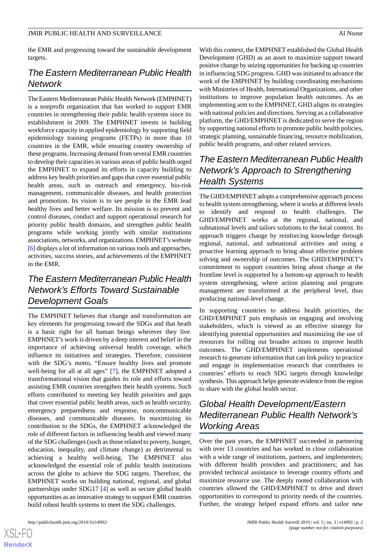the EMR and progressing toward the sustainable development targets.

# *The Eastern Mediterranean Public Health Network*

The Eastern Mediterranean Public Health Network (EMPHNET) is a nonprofit organization that has worked to support EMR countries in strengthening their public health systems since its establishment in 2009. The EMPHNET invests in building workforce capacity in applied epidemiology by supporting field epidemiology training programs (FETPs) in more than 10 countries in the EMR, while ensuring country ownership of these programs. Increasing demand from several EMR countries to develop their capacities in various areas of public health urged the EMPHNET to expand its efforts in capacity building to address key health priorities and gaps that cover essential public health areas, such as outreach and emergency, bio-risk management, communicable diseases, and health protection and promotion. Its vision is to see people in the EMR lead healthy lives and better welfare. Its mission is to prevent and control diseases, conduct and support operational research for priority public health domains, and strengthen public health programs while working jointly with similar institutions associations, networks, and organizations. EMPHNET's website [[6\]](#page-4-4) displays a lot of information on various tools and approaches, activities, success stories, and achievements of the EMPHNET in the EMR.

# *The Eastern Mediterranean Public Health Network's Efforts Toward Sustainable Development Goals*

The EMPHNET believes that change and transformation are key elements for progressing toward the SDGs and that heath is a basic right for all human beings wherever they live. EMPHNET's work is driven by a deep interest and belief in the importance of achieving universal health coverage, which influence its initiatives and strategies. Therefore, consistent with the SDG's motto, "Ensure healthy lives and promote well-being for all at all ages" [\[7](#page-4-5)], the EMPHNET adopted a transformational vision that guides its role and efforts toward assisting EMR countries strengthen their health systems. Such efforts contributed to meeting key health priorities and gaps that cover essential public health areas, such as health security, emergency preparedness and response, noncommunicable diseases, and communicable diseases. In maximizing its contribution to the SDGs, the EMPHNET acknowledged the role of different factors in influencing health and viewed many of the SDG challenges (such as those related to poverty, hunger, education, inequality, and climate change) as detrimental to achieving a healthy well-being. The EMPHNET also acknowledged the essential role of public health institutions across the globe to achieve the SDG targets. Therefore, the EMPHNET works on building national, regional, and global partnerships under SDG17 [\[4\]](#page-4-2) as well as secure global health opportunities as an innovative strategy to support EMR countries build robust health systems to meet the SDG challenges.

 $XS$  $\cdot$ FC **[RenderX](http://www.renderx.com/)** With this context, the EMPHNET established the Global Health Development (GHD) as an asset to maximize support toward positive change by seizing opportunities for backing up countries in influencing SDG progress. GHD was initiated to advance the work of the EMPHNET by building coordinating mechanisms with Ministries of Health, International Organizations, and other institutions to improve population health outcomes. As an implementing arm to the EMPHNET, GHD aligns its strategies with national policies and directions. Serving as a collaborative platform, the GHD/EMPHNET is dedicated to serve the region by supporting national efforts to promote public health policies, strategic planning, sustainable financing, resource mobilization, public health programs, and other related services.

# *The Eastern Mediterranean Public Health Network's Approach to Strengthening Health Systems*

The GHD/EMPHNET adopts a comprehensive approach process to health system strengthening, where it works at different levels to identify and respond to health challenges. The GHD/EMPHNET works at the regional, national, and subnational levels and tailors solutions to the local context. Its approach triggers change by reinforcing knowledge through regional, national, and subnational activities and using a proactive learning approach to bring about effective problem solving and ownership of outcomes. The GHD/EMPHNET's commitment to support countries bring about change at the frontline level is supported by a bottom-up approach to health system strengthening, where action planning and program management are transformed at the peripheral level, thus producing national-level change.

In supporting countries to address health priorities, the GHD/EMPHNET puts emphasis on engaging and involving stakeholders, which is viewed as an effective strategy for identifying potential opportunities and maximizing the use of resources for rolling out broader actions to improve health outcomes. The GHD/EMPHNET implements operational research to generate information that can link policy to practice and engage in implementation research that contributes to countries' efforts to reach SDG targets through knowledge synthesis. This approach helps generate evidence from the region to share with the global health sector.

# *Global Health Development/Eastern Mediterranean Public Health Network's Working Areas*

Over the past years, the EMPHNET succeeded in partnering with over 13 countries and has worked in close collaboration with a wide range of institutions, partners, and implementers; with different health providers and practitioners; and has provided technical assistance to leverage country efforts and maximize resource use. The deeply rooted collaboration with countries allowed the GHD/EMPHNET to drive and direct opportunities to correspond to priority needs of the countries. Further, the strategy helped expand efforts and tailor new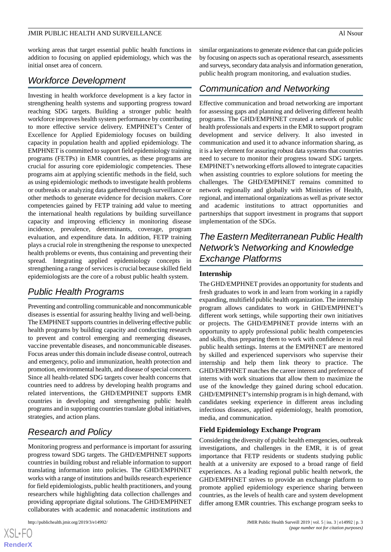working areas that target essential public health functions in addition to focusing on applied epidemiology, which was the initial onset area of concern.

### *Workforce Development*

Investing in health workforce development is a key factor in strengthening health systems and supporting progress toward reaching SDG targets. Building a stronger public health workforce improves health system performance by contributing to more effective service delivery. EMPHNET's Center of Excellence for Applied Epidemiology focuses on building capacity in population health and applied epidemiology. The EMPHNET is committed to support field epidemiology training programs (FETPs) in EMR countries, as these programs are crucial for assuring core epidemiologic competencies. These programs aim at applying scientific methods in the field, such as using epidemiologic methods to investigate health problems or outbreaks or analyzing data gathered through surveillance or other methods to generate evidence for decision makers. Core competencies gained by FETP training add value to meeting the international health regulations by building surveillance capacity and improving efficiency in monitoring disease incidence, prevalence, determinants, coverage, program evaluation, and expenditure data. In addition, FETP training plays a crucial role in strengthening the response to unexpected health problems or events, thus containing and preventing their spread. Integrating applied epidemiology concepts in strengthening a range of services is crucial because skilled field epidemiologists are the core of a robust public health system.

# *Public Health Programs*

Preventing and controlling communicable and noncommunicable diseases is essential for assuring healthy living and well-being. The EMPHNET supports countries in delivering effective public health programs by building capacity and conducting research to prevent and control emerging and reemerging diseases, vaccine preventable diseases, and noncommunicable diseases. Focus areas under this domain include disease control, outreach and emergency, polio and immunization, health protection and promotion, environmental health, and disease of special concern. Since all health-related SDG targets cover health concerns that countries need to address by developing health programs and related interventions, the GHD/EMPHNET supports EMR countries in developing and strengthening public health programs and in supporting countries translate global initiatives, strategies, and action plans.

# *Research and Policy*

Monitoring progress and performance is important for assuring progress toward SDG targets. The GHD/EMPHNET supports countries in building robust and reliable information to support translating information into policies. The GHD/EMPHNET works with a range of institutions and builds research experience for field epidemiologists, public health practitioners, and young researchers while highlighting data collection challenges and providing appropriate digital solutions. The GHD/EMPHNET collaborates with academic and nonacademic institutions and

similar organizations to generate evidence that can guide policies by focusing on aspects such as operational research, assessments and surveys, secondary data analysis and information generation, public health program monitoring, and evaluation studies.

### *Communication and Networking*

Effective communication and broad networking are important for assessing gaps and planning and delivering different health programs. The GHD/EMPHNET created a network of public health professionals and experts in the EMR to support program development and service delivery. It also invested in communication and used it to advance information sharing, as it is a key element for assuring robust data systems that countries need to secure to monitor their progress toward SDG targets. EMPHNET's networking efforts allowed to integrate capacities when assisting countries to explore solutions for meeting the challenges. The GHD/EMPHNET remains committed to network regionally and globally with Ministries of Health, regional, and international organizations as well as private sector and academic institutions to attract opportunities and partnerships that support investment in programs that support implementation of the SDGs.

# *The Eastern Mediterranean Public Health Network's Networking and Knowledge Exchange Platforms*

### **Internship**

The GHD/EMPHNET provides an opportunity for students and fresh graduates to work in and learn from working in a rapidly expanding, multifield public health organization. The internship program allows candidates to work in GHD/EMPHNET's different work settings, while supporting their own initiatives or projects. The GHD/EMPHNET provide interns with an opportunity to apply professional public health competencies and skills, thus preparing them to work with confidence in real public health settings. Interns at the EMPHNET are mentored by skilled and experienced supervisors who supervise their internship and help them link theory to practice. The GHD/EMPHNET matches the career interest and preference of interns with work situations that allow them to maximize the use of the knowledge they gained during school education. GHD/EMPHNET's internship program is in high demand, with candidates seeking experience in different areas including infectious diseases, applied epidemiology, health promotion, media, and communication.

### **Field Epidemiology Exchange Program**

Considering the diversity of public health emergencies, outbreak investigations, and challenges in the EMR, it is of great importance that FETP residents or students studying public health at a university are exposed to a broad range of field experiences. As a leading regional public health network, the GHD/EMPHNET strives to provide an exchange platform to promote applied epidemiology experience sharing between countries, as the levels of health care and system development differ among EMR countries. This exchange program seeks to

 $XS$  • FC **[RenderX](http://www.renderx.com/)**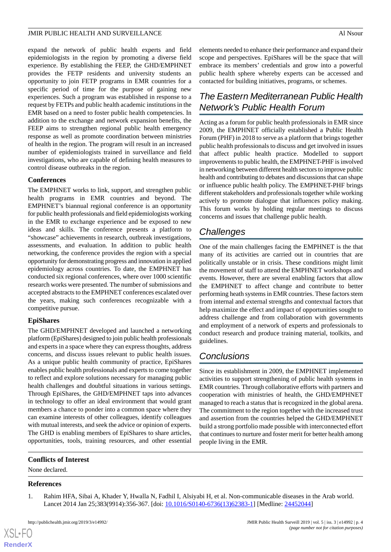expand the network of public health experts and field epidemiologists in the region by promoting a diverse field experience. By establishing the FEEP, the GHD/EMPHNET provides the FETP residents and university students an opportunity to join FETP programs in EMR countries for a specific period of time for the purpose of gaining new experiences. Such a program was established in response to a request by FETPs and public health academic institutions in the EMR based on a need to foster public health competencies. In addition to the exchange and network expansion benefits, the FEEP aims to strengthen regional public health emergency response as well as promote coordination between ministries of health in the region. The program will result in an increased number of epidemiologists trained in surveillance and field investigations, who are capable of defining health measures to control disease outbreaks in the region.

### **Conferences**

The EMPHNET works to link, support, and strengthen public health programs in EMR countries and beyond. The EMPHNET's biannual regional conference is an opportunity for public health professionals and field epidemiologists working in the EMR to exchange experience and be exposed to new ideas and skills. The conference presents a platform to "showcase" achievements in research, outbreak investigations, assessments, and evaluation. In addition to public health networking, the conference provides the region with a special opportunity for demonstrating progress and innovation in applied epidemiology across countries. To date, the EMPHNET has conducted six regional conferences, where over 1000 scientific research works were presented. The number of submissions and accepted abstracts to the EMPHNET conferences escalated over the years, making such conferences recognizable with a competitive pursue.

### **EpiShares**

The GHD/EMPHNET developed and launched a networking platform (EpiShares) designed to join public health professionals and experts in a space where they can express thoughts, address concerns, and discuss issues relevant to public health issues. As a unique public health community of practice, EpiShares enables public health professionals and experts to come together to reflect and explore solutions necessary for managing public health challenges and doubtful situations in various settings. Through EpiShares, the GHD/EMPHNET taps into advances in technology to offer an ideal environment that would grant members a chance to ponder into a common space where they can examine interests of other colleagues, identify colleagues with mutual interests, and seek the advice or opinion of experts. The GHD is enabling members of EpiShares to share articles, opportunities, tools, training resources, and other essential

### <span id="page-3-0"></span>**Conflicts of Interest**

None declared.

### **References**

 $XS$  $\cdot$ FC **[RenderX](http://www.renderx.com/)**

1. Rahim HFA, Sibai A, Khader Y, Hwalla N, Fadhil I, Alsiyabi H, et al. Non-communicable diseases in the Arab world. Lancet 2014 Jan 25;383(9914):356-367. [doi: [10.1016/S0140-6736\(13\)62383-1\]](http://dx.doi.org/10.1016/S0140-6736(13)62383-1) [Medline: [24452044](http://www.ncbi.nlm.nih.gov/entrez/query.fcgi?cmd=Retrieve&db=PubMed&list_uids=24452044&dopt=Abstract)]

elements needed to enhance their performance and expand their scope and perspectives. EpiShares will be the space that will embrace its members' credentials and grow into a powerful public health sphere whereby experts can be accessed and contacted for building initiatives, programs, or schemes.

# *The Eastern Mediterranean Public Health Network's Public Health Forum*

Acting as a forum for public health professionals in EMR since 2009, the EMPHNET officially established a Public Health Forum (PHF) in 2018 to serve as a platform that brings together public health professionals to discuss and get involved in issues that affect public health practice. Modelled to support improvements to public health, the EMPHNET-PHF is involved in networking between different health sectors to improve public health and contributing to debates and discussions that can shape or influence public health policy. The EMPHNET-PHF brings different stakeholders and professionals together while working actively to promote dialogue that influences policy making. This forum works by holding regular meetings to discuss concerns and issues that challenge public health.

### *Challenges*

One of the main challenges facing the EMPHNET is the that many of its activities are carried out in countries that are politically unstable or in crisis. These conditions might limit the movement of staff to attend the EMPHNET workshops and events. However, there are several enabling factors that allow the EMPHNET to affect change and contribute to better performing heath systems in EMR countries. These factors stem from internal and external strengths and contextual factors that help maximize the effect and impact of opportunities sought to address challenge and from collaboration with governments and employment of a network of experts and professionals to conduct research and produce training material, toolkits, and guidelines.

### *Conclusions*

Since its establishment in 2009, the EMPHNET implemented activities to support strengthening of public health systems in EMR countries. Through collaborative efforts with partners and cooperation with ministries of health, the GHD/EMPHNET managed to reach a status that is recognized in the global arena. The commitment to the region together with the increased trust and assertion from the countries helped the GHD/EMPHNET build a strong portfolio made possible with interconnected effort that continues to nurture and foster merit for better health among people living in the EMR.